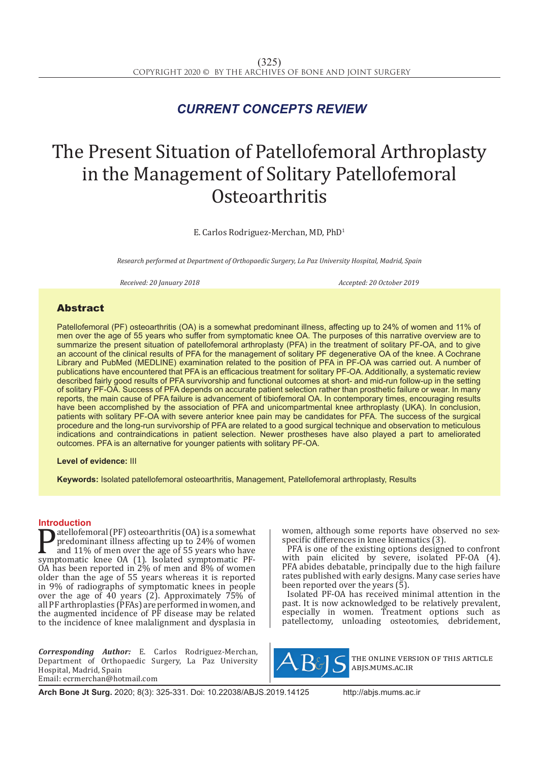## *CURRENT CONCEPTS REVIEW*

# The Present Situation of Patellofemoral Arthroplasty in the Management of Solitary Patellofemoral **Osteoarthritis**

E. Carlos Rodriguez-Merchan, MD, PhD1

*Research performed at Department of Orthopaedic Surgery, La Paz University Hospital, Madrid, Spain*

*Received: 20 January 2018 Accepted: 20 October 2019*

### **Abstract**

Patellofemoral (PF) osteoarthritis (OA) is a somewhat predominant illness, affecting up to 24% of women and 11% of men over the age of 55 years who suffer from symptomatic knee OA. The purposes of this narrative overview are to summarize the present situation of patellofemoral arthroplasty (PFA) in the treatment of solitary PF-OA, and to give an account of the clinical results of PFA for the management of solitary PF degenerative OA of the knee. A Cochrane Library and PubMed (MEDLINE) examination related to the position of PFA in PF-OA was carried out. A number of publications have encountered that PFA is an efficacious treatment for solitary PF-OA. Additionally, a systematic review described fairly good results of PFA survivorship and functional outcomes at short- and mid-run follow-up in the setting of solitary PF-OA. Success of PFA depends on accurate patient selection rather than prosthetic failure or wear. In many reports, the main cause of PFA failure is advancement of tibiofemoral OA. In contemporary times, encouraging results have been accomplished by the association of PFA and unicompartmental knee arthroplasty (UKA). In conclusion, patients with solitary PF-OA with severe anterior knee pain may be candidates for PFA. The success of the surgical procedure and the long-run survivorship of PFA are related to a good surgical technique and observation to meticulous indications and contraindications in patient selection. Newer prostheses have also played a part to ameliorated outcomes. PFA is an alternative for younger patients with solitary PF-OA.

**Level of evidence:** III

**Keywords:** Isolated patellofemoral osteoarthritis, Management, Patellofemoral arthroplasty, Results

**Introduction**<br>**Intervention**<br>**Intervention Patellofemoral (PF) osteoarthritis (OA) is a somewhat**<br>predominant illness affecting up to 24% of women<br>and 11% of men over the age of 55 years who have<br>symptomatic knee OA (1). Isolated symptomatic PF-<br>OA has been report predominant illness affecting up to 24% of women and 11% of men over the age of 55 years who have OA has been reported in 2% of men and 8% of women older than the age of 55 years whereas it is reported in 9% of radiographs of symptomatic knees in people over the age of  $\overline{40}$  years (2). Approximately  $\overline{75\%}$  of all PF arthroplasties (PFAs) are performed in women, and the augmented incidence of PF disease may be related to the incidence of knee malalignment and dysplasia in

*Corresponding Author:* E. Carlos Rodriguez-Merchan, Department of Orthopaedic Surgery, La Paz University Hospital, Madrid, Spain Email: ecrmerchan@hotmail.com

women, although some reports have observed no sexspecific differences in knee kinematics (3).

PFA is one of the existing options designed to confront with pain elicited by severe, isolated PF-OA (4). PFA abides debatable, principally due to the high failure rates published with early designs. Many case series have been reported over the years  $(5)$ .

Isolated PF-OA has received minimal attention in the past. It is now acknowledged to be relatively prevalent, especially in women. Treatment options such as patellectomy, unloading osteotomies, debridement,



the online version of this article abjs.mums.ac.ir

**Arch Bone Jt Surg.** 2020; 8(3): 325-331. Doi: 10.22038/ABJS.2019.14125 http://abjs.mums.ac.ir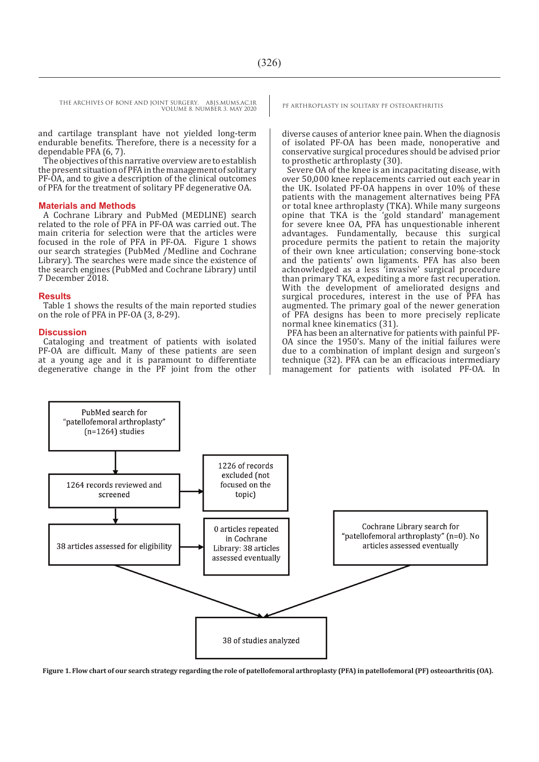THE ARCHIVES OF BONE AND JOINT SURGERY. ABJS.MUMS.AC.IR<br>VOUBALE & NUMBER 2, MAY 2020 VOLUME 8. NUMBER 3. MAY 2020

and cartilage transplant have not yielded long-term endurable benefits. Therefore, there is a necessity for a dependable PFA (6, 7).

The objectives of this narrative overview are to establish the present situation of PFA in the management of solitary PF-OA, and to give a description of the clinical outcomes of PFA for the treatment of solitary PF degenerative OA.

#### **Materials and Methods**

A Cochrane Library and PubMed (MEDLINE) search related to the role of PFA in PF-OA was carried out. The main criteria for selection were that the articles were focused in the role of PFA in PF-OA. Figure 1 shows our search strategies (PubMed /Medline and Cochrane Library). The searches were made since the existence of the search engines (PubMed and Cochrane Library) until 7 December 2018.

#### **Results**

Table 1 shows the results of the main reported studies on the role of PFA in PF-OA (3, 8-29).

#### **Discussion**

Cataloging and treatment of patients with isolated PF-OA are difficult. Many of these patients are seen at a young age and it is paramount to differentiate degenerative change in the PF joint from the other

diverse causes of anterior knee pain. When the diagnosis of isolated PF-OA has been made, nonoperative and conservative surgical procedures should be advised prior to prosthetic arthroplasty (30).

Severe OA of the knee is an incapacitating disease, with over 50,000 knee replacements carried out each year in the UK. Isolated PF-OA happens in over 10% of these patients with the management alternatives being PFA or total knee arthroplasty (TKA). While many surgeons opine that TKA is the 'gold standard' management for severe knee OA, PFA has unquestionable inherent advantages. Fundamentally, because this surgical procedure permits the patient to retain the majority of their own knee articulation; conserving bone-stock and the patients' own ligaments. PFA has also been acknowledged as a less 'invasive' surgical procedure than primary TKA, expediting a more fast recuperation. With the development of ameliorated designs and surgical procedures, interest in the use of PFA has augmented. The primary goal of the newer generation of PFA designs has been to more precisely replicate normal knee kinematics (31).

PFA has been an alternative for patients with painful PF-OA since the 1950's. Many of the initial failures were due to a combination of implant design and surgeon's technique (32). PFA can be an efficacious intermediary management for patients with isolated PF-OA. In



**Figure 1. Flow chart of our search strategy regarding the role of patellofemoral arthroplasty (PFA) in patellofemoral (PF) osteoarthritis (OA).**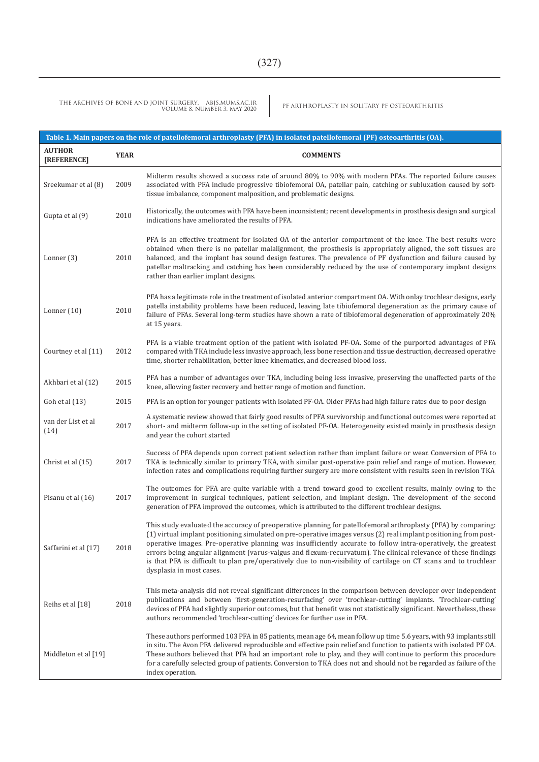PF ARTHROPLASTY IN SOLITARY PF OSTEOARTHRITIS THE ARCHIVES OF BONE AND JOINT SURGERY. ABJS.MUMS.AC.IR VOLUME 8. NUMBER 3. MAY 2020

| Table 1. Main papers on the role of patellofemoral arthroplasty (PFA) in isolated patellofemoral (PF) osteoarthritis (OA). |             |                                                                                                                                                                                                                                                                                                                                                                                                                                                                                                                                                                                                                       |  |  |  |  |
|----------------------------------------------------------------------------------------------------------------------------|-------------|-----------------------------------------------------------------------------------------------------------------------------------------------------------------------------------------------------------------------------------------------------------------------------------------------------------------------------------------------------------------------------------------------------------------------------------------------------------------------------------------------------------------------------------------------------------------------------------------------------------------------|--|--|--|--|
| <b>AUTHOR</b><br>[REFERENCE]                                                                                               | <b>YEAR</b> | <b>COMMENTS</b>                                                                                                                                                                                                                                                                                                                                                                                                                                                                                                                                                                                                       |  |  |  |  |
| Sreekumar et al (8)                                                                                                        | 2009        | Midterm results showed a success rate of around 80% to 90% with modern PFAs. The reported failure causes<br>associated with PFA include progressive tibiofemoral OA, patellar pain, catching or subluxation caused by soft-<br>tissue imbalance, component malposition, and problematic designs.                                                                                                                                                                                                                                                                                                                      |  |  |  |  |
| Gupta et al (9)                                                                                                            | 2010        | Historically, the outcomes with PFA have been inconsistent; recent developments in prosthesis design and surgical<br>indications have ameliorated the results of PFA.                                                                                                                                                                                                                                                                                                                                                                                                                                                 |  |  |  |  |
| Lonner $(3)$                                                                                                               | 2010        | PFA is an effective treatment for isolated OA of the anterior compartment of the knee. The best results were<br>obtained when there is no patellar malalignment, the prosthesis is appropriately aligned, the soft tissues are<br>balanced, and the implant has sound design features. The prevalence of PF dysfunction and failure caused by<br>patellar maltracking and catching has been considerably reduced by the use of contemporary implant designs<br>rather than earlier implant designs.                                                                                                                   |  |  |  |  |
| Lonner $(10)$                                                                                                              | 2010        | PFA has a legitimate role in the treatment of isolated anterior compartment OA. With onlay trochlear designs, early<br>patella instability problems have been reduced, leaving late tibiofemoral degeneration as the primary cause of<br>failure of PFAs. Several long-term studies have shown a rate of tibiofemoral degeneration of approximately 20%<br>at 15 years.                                                                                                                                                                                                                                               |  |  |  |  |
| Courtney et al (11)                                                                                                        | 2012        | PFA is a viable treatment option of the patient with isolated PF-OA. Some of the purported advantages of PFA<br>compared with TKA include less invasive approach, less bone resection and tissue destruction, decreased operative<br>time, shorter rehabilitation, better knee kinematics, and decreased blood loss.                                                                                                                                                                                                                                                                                                  |  |  |  |  |
| Akhbari et al (12)                                                                                                         | 2015        | PFA has a number of advantages over TKA, including being less invasive, preserving the unaffected parts of the<br>knee, allowing faster recovery and better range of motion and function.                                                                                                                                                                                                                                                                                                                                                                                                                             |  |  |  |  |
| Goh et al (13)                                                                                                             | 2015        | PFA is an option for younger patients with isolated PF-OA. Older PFAs had high failure rates due to poor design                                                                                                                                                                                                                                                                                                                                                                                                                                                                                                       |  |  |  |  |
| van der List et al<br>(14)                                                                                                 | 2017        | A systematic review showed that fairly good results of PFA survivorship and functional outcomes were reported at<br>short- and midterm follow-up in the setting of isolated PF-OA. Heterogeneity existed mainly in prosthesis design<br>and year the cohort started                                                                                                                                                                                                                                                                                                                                                   |  |  |  |  |
| Christ et al (15)                                                                                                          | 2017        | Success of PFA depends upon correct patient selection rather than implant failure or wear. Conversion of PFA to<br>TKA is technically similar to primary TKA, with similar post-operative pain relief and range of motion. However,<br>infection rates and complications requiring further surgery are more consistent with results seen in revision TKA                                                                                                                                                                                                                                                              |  |  |  |  |
| Pisanu et al (16)                                                                                                          | 2017        | The outcomes for PFA are quite variable with a trend toward good to excellent results, mainly owing to the<br>improvement in surgical techniques, patient selection, and implant design. The development of the second<br>generation of PFA improved the outcomes, which is attributed to the different trochlear designs.                                                                                                                                                                                                                                                                                            |  |  |  |  |
| Saffarini et al (17)                                                                                                       | 2018        | This study evaluated the accuracy of preoperative planning for patellofemoral arthroplasty (PFA) by comparing:<br>(1) virtual implant positioning simulated on pre-operative images versus (2) real implant positioning from post-<br>operative images. Pre-operative planning was insufficiently accurate to follow intra-operatively, the greatest<br>errors being angular alignment (varus-valgus and flexum-recurvatum). The clinical relevance of these findings<br>is that PFA is difficult to plan pre/operatively due to non-visibility of cartilage on CT scans and to trochlear<br>dysplasia in most cases. |  |  |  |  |
| Reihs et al [18]                                                                                                           | 2018        | This meta-analysis did not reveal significant differences in the comparison between developer over independent<br>publications and between 'first-generation-resurfacing' over 'trochlear-cutting' implants. 'Trochlear-cutting'<br>devices of PFA had slightly superior outcomes, but that benefit was not statistically significant. Nevertheless, these<br>authors recommended 'trochlear-cutting' devices for further use in PFA.                                                                                                                                                                                 |  |  |  |  |
| Middleton et al [19]                                                                                                       |             | These authors performed 103 PFA in 85 patients, mean age 64, mean follow up time 5.6 years, with 93 implants still<br>in situ. The Avon PFA delivered reproducible and effective pain relief and function to patients with isolated PF OA.<br>These authors believed that PFA had an important role to play, and they will continue to perform this procedure<br>for a carefully selected group of patients. Conversion to TKA does not and should not be regarded as failure of the<br>index operation.                                                                                                              |  |  |  |  |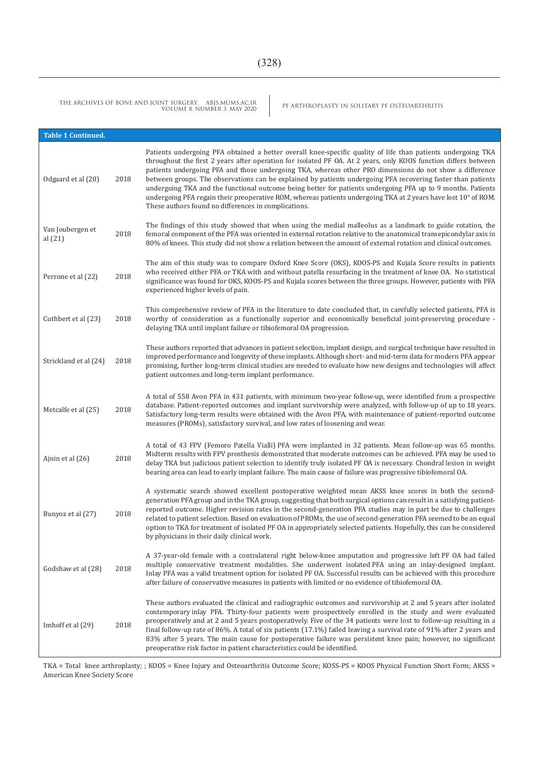PF ARTHROPLASTY IN SOLITARY PF OSTEOARTHRITIS THE ARCHIVES OF BONE AND JOINT SURGERY. ABJS.MUMS.AC.IR VOLUME 8. NUMBER 3. MAY 2020

| <b>Table 1 Continued.</b>     |      |                                                                                                                                                                                                                                                                                                                                                                                                                                                                                                                                                                                                                                                                                                                                                     |
|-------------------------------|------|-----------------------------------------------------------------------------------------------------------------------------------------------------------------------------------------------------------------------------------------------------------------------------------------------------------------------------------------------------------------------------------------------------------------------------------------------------------------------------------------------------------------------------------------------------------------------------------------------------------------------------------------------------------------------------------------------------------------------------------------------------|
| Odgaard et al (20)            | 2018 | Patients undergoing PFA obtained a better overall knee-specific quality of life than patients undergoing TKA<br>throughout the first 2 years after operation for isolated PF OA. At 2 years, only KOOS function differs between<br>patients undergoing PFA and those undergoing TKA, whereas other PRO dimensions do not show a difference<br>between groups. The observations can be explained by patients undergoing PFA recovering faster than patients<br>undergoing TKA and the functional outcome being better for patients undergoing PFA up to 9 months. Patients<br>undergoing PFA regain their preoperative ROM, whereas patients undergoing TKA at 2 years have lost 10° of ROM.<br>These authors found no differences in complications. |
| Van Joubergen et<br>al $(21)$ | 2018 | The findings of this study showed that when using the medial malleolus as a landmark to guide rotation, the<br>femoral component of the PFA was oriented in external rotation relative to the anatomical transepicondylar axis in<br>80% of knees. This study did not show a relation between the amount of external rotation and clinical outcomes.                                                                                                                                                                                                                                                                                                                                                                                                |
| Perrone et al (22)            | 2018 | The aim of this study was to compare Oxford Knee Score (OKS), KOOS-PS and Kujala Score results in patients<br>who received either PFA or TKA with and without patella resurfacing in the treatment of knee OA. No statistical<br>significance was found for OKS, KOOS-PS and Kujala scores between the three groups. However, patients with PFA<br>experienced higher levels of pain.                                                                                                                                                                                                                                                                                                                                                               |
| Cuthbert et al (23)           | 2018 | This comprehensive review of PFA in the literature to date concluded that, in carefully selected patients, PFA is<br>worthy of consideration as a functionally superior and economically beneficial joint-preserving procedure -<br>delaying TKA until implant failure or tibiofemoral OA progression.                                                                                                                                                                                                                                                                                                                                                                                                                                              |
| Strickland et al (24)         | 2018 | These authors reported that advances in patient selection, implant design, and surgical technique have resulted in<br>improved performance and longevity of these implants. Although short- and mid-term data for modern PFA appear<br>promising, further long-term clinical studies are needed to evaluate how new designs and technologies will affect<br>patient outcomes and long-term implant performance.                                                                                                                                                                                                                                                                                                                                     |
| Metcalfe et al (25)           | 2018 | A total of 558 Avon PFA in 431 patients, with minimum two-year follow-up, were identified from a prospective<br>database. Patient-reported outcomes and implant survivorship were analyzed, with follow-up of up to 18 years.<br>Satisfactory long-term results were obtained with the Avon PFA, with maintenance of patient-reported outcome<br>measures (PROMs), satisfactory survival, and low rates of loosening and wear.                                                                                                                                                                                                                                                                                                                      |
| Ajnin et al (26)              | 2018 | A total of 43 FPV (Femoro Patella Vialli) PFA were implanted in 32 patients. Mean follow-up was 65 months.<br>Midterm results with FPV prosthesis demonstrated that moderate outcomes can be achieved. PFA may be used to<br>delay TKA but judicious patient selection to identify truly isolated PF OA is necessary. Chondral lesion in weight<br>bearing area can lead to early implant failure. The main cause of failure was progressive tibiofemoral OA.                                                                                                                                                                                                                                                                                       |
| Bunyoz et al (27)             | 2018 | A systematic search showed excellent postoperative weighted mean AKSS knee scores in both the second-<br>generation PFA group and in the TKA group, suggesting that both surgical options can result in a satisfying patient-<br>reported outcome. Higher revision rates in the second-generation PFA studies may in part be due to challenges<br>related to patient selection. Based on evaluation of PROMs, the use of second-generation PFA seemed to be an equal<br>option to TKA for treatment of isolated PF OA in appropriately selected patients. Hopefully, this can be considered<br>by physicians in their daily clinical work.                                                                                                          |
| Godshaw et al (28)            | 2018 | A 37-year-old female with a contralateral right below-knee amputation and progressive left PF OA had failed<br>multiple conservative treatment modalities. She underwent isolated PFA using an inlay-designed implant.<br>Inlay PFA was a valid treatment option for isolated PF OA. Successful results can be achieved with this procedure<br>after failure of conservative measures in patients with limited or no evidence of tibiofemoral OA.                                                                                                                                                                                                                                                                                                   |
| Imhoff et al (29)             | 2018 | These authors evaluated the clinical and radiographic outcomes and survivorship at 2 and 5 years after isolated<br>contemporary inlay PFA. Thirty-four patients were prospectively enrolled in the study and were evaluated<br>preoperatively and at 2 and 5 years postoperatively. Five of the 34 patients were lost to follow-up resulting in a<br>final follow-up rate of 86%. A total of six patients (17.1%) failed leaving a survival rate of 91% after 2 years and<br>83% after 5 years. The main cause for postoperative failure was persistent knee pain; however, no significant<br>preoperative risk factor in patient characteristics could be identified.                                                                              |

TKA = Total knee arthroplasty; ; KOOS = Knee Injury and Osteoarthritis Outcome Score; KOSS-PS = KOOS Physical Function Short Form; AKSS = American Knee Society Score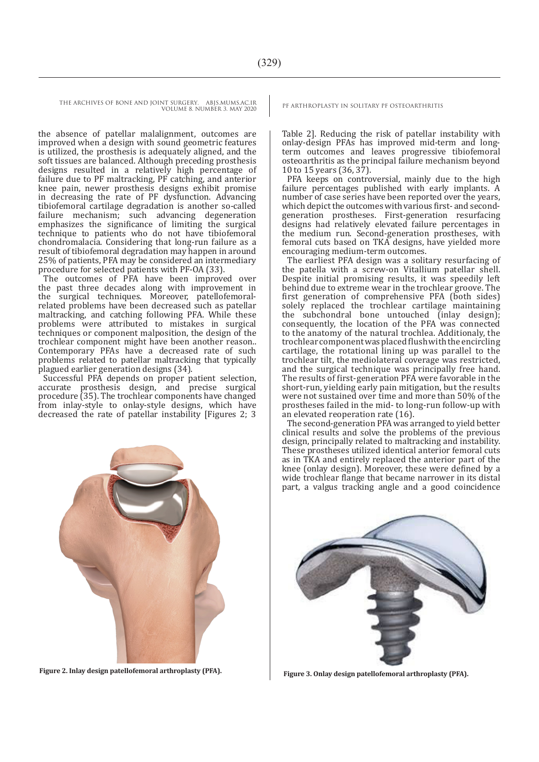THE ARCHIVES OF BONE AND JOINT SURGERY. ABJS.MUMS.AC.IR PE ARTHROPLASTY IN SOLITARY PF OSTEOARTHRITIS

VOLUME 8. NUMBER 3. MAY 2020

the absence of patellar malalignment, outcomes are improved when a design with sound geometric features is utilized, the prosthesis is adequately aligned, and the soft tissues are balanced. Although preceding prosthesis designs resulted in a relatively high percentage of failure due to PF maltracking, PF catching, and anterior knee pain, newer prosthesis designs exhibit promise in decreasing the rate of PF dysfunction. Advancing tibiofemoral cartilage degradation is another so-called failure mechanism; such advancing degeneration emphasizes the significance of limiting the surgical technique to patients who do not have tibiofemoral chondromalacia. Considering that long-run failure as a result of tibiofemoral degradation may happen in around 25% of patients, PFA may be considered an intermediary procedure for selected patients with PF-OA (33).

The outcomes of PFA have been improved over the past three decades along with improvement in the surgical techniques. Moreover, patellofemoralrelated problems have been decreased such as patellar maltracking, and catching following PFA. While these problems were attributed to mistakes in surgical techniques or component malposition, the design of the trochlear component might have been another reason.. Contemporary PFAs have a decreased rate of such problems related to patellar maltracking that typically plagued earlier generation designs (34).

Successful PFA depends on proper patient selection, accurate prosthesis design, and precise surgical procedure (35). The trochlear components have changed from inlay-style to onlay-style designs, which have decreased the rate of patellar instability [Figures 2; 3



**Figure 2. Inlay design patellofemoral arthroplasty (PFA). Figure 3. Onlay design patellofemoral arthroplasty (PFA).**

Table 2]. Reducing the risk of patellar instability with onlay-design PFAs has improved mid-term and longterm outcomes and leaves progressive tibiofemoral osteoarthritis as the principal failure mechanism beyond 10 to 15 years (36, 37).

PFA keeps on controversial, mainly due to the high failure percentages published with early implants. A number of case series have been reported over the years, which depict the outcomes with various first- and secondgeneration prostheses. First-generation resurfacing designs had relatively elevated failure percentages in the medium run. Second-generation prostheses, with femoral cuts based on TKA designs, have yielded more encouraging medium-term outcomes.

The earliest PFA design was a solitary resurfacing of the patella with a screw-on Vitallium patellar shell. Despite initial promising results, it was speedily left behind due to extreme wear in the trochlear groove. The first generation of comprehensive PFA (both sides) solely replaced the trochlear cartilage maintaining the subchondral bone untouched (inlay design); consequently, the location of the PFA was connected to the anatomy of the natural trochlea. Additionaly, the trochlear component was placed flush with the encircling cartilage, the rotational lining up was parallel to the trochlear tilt, the mediolateral coverage was restricted, and the surgical technique was principally free hand. The results of first-generation PFA were favorable in the short-run, yielding early pain mitigation, but the results were not sustained over time and more than 50% of the prostheses failed in the mid- to long-run follow-up with an elevated reoperation rate (16).

The second-generation PFA was arranged to yield better clinical results and solve the problems of the previous design, principally related to maltracking and instability. These prostheses utilized identical anterior femoral cuts as in TKA and entirely replaced the anterior part of the knee (onlay design). Moreover, these were defined by a wide trochlear flange that became narrower in its distal part, a valgus tracking angle and a good coincidence

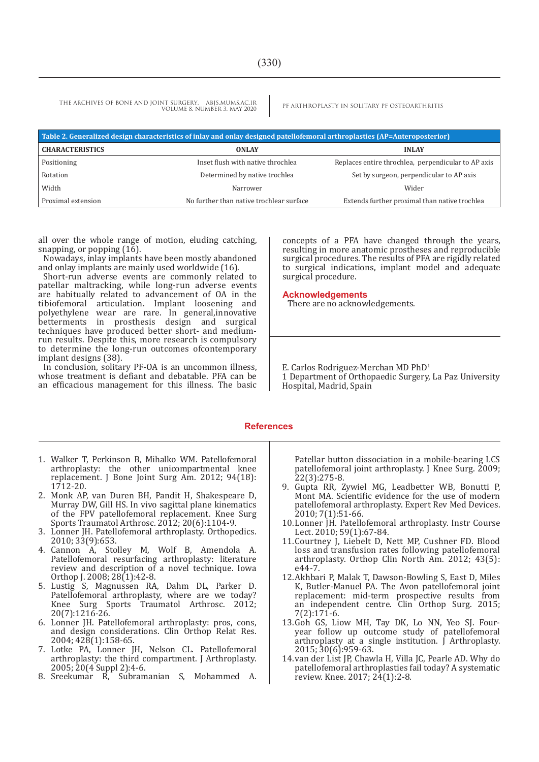THE ARCHIVES OF BONE AND JOINT SURGERY. ABJS.MUMS.AC.IR PE ARTHROPLASTY IN SOLITARY PF OSTEOARTHRITIS VOLUME 8. NUMBER 3. MAY 2020

| Table 2. Generalized design characteristics of inlay and onlay designed patellofemoral arthroplasties (AP=Anteroposterior) |                                          |                                                     |  |  |  |
|----------------------------------------------------------------------------------------------------------------------------|------------------------------------------|-----------------------------------------------------|--|--|--|
| <b>CHARACTERISTICS</b>                                                                                                     | <b>ONLAY</b>                             | <b>INLAY</b>                                        |  |  |  |
| Positioning                                                                                                                | Inset flush with native throchlea        | Replaces entire throchlea, perpendicular to AP axis |  |  |  |
| Rotation                                                                                                                   | Determined by native trochlea            | Set by surgeon, perpendicular to AP axis            |  |  |  |
| Width                                                                                                                      | Narrower                                 | Wider                                               |  |  |  |
| Proximal extension                                                                                                         | No further than native trochlear surface | Extends further proximal than native trochlea       |  |  |  |

all over the whole range of motion, eluding catching, snapping, or popping (16).

Nowadays, inlay implants have been mostly abandoned and onlay implants are mainly used worldwide (16).

Short-run adverse events are commonly related to patellar maltracking, while long-run adverse events are habitually related to advancement of OA in the tibiofemoral articulation. Implant loosening and polyethylene wear are rare. In general, innovative betterments in prosthesis design and surgical techniques have produced better short- and mediumrun results. Despite this, more research is compulsory to determine the long-run outcomes ofcontemporary implant designs (38).

In conclusion, solitary PF-OA is an uncommon illness, whose treatment is defiant and debatable. PFA can be an efficacious management for this illness. The basic concepts of <sup>a</sup> PFA have changed through the years, resulting in more anatomic prostheses and reproducible surgical procedures. The results of PFA are rigidly related to surgical indications, implant model and adequate surgical procedure.

#### **Acknowledgements**

There are no acknowledgements.

E. Carlos Rodriguez-Merchan MD PhD1

1 Department of Orthopaedic Surgery, La Paz University Hospital, Madrid, Spain

#### **References**

- 1. Walker T, Perkinson B, Mihalko WM. Patellofemoral arthroplasty: the other unicompartmental knee replacement. J Bone Joint Surg Am. 2012; 94(18): 1712-20.
- 2. Monk AP, van Duren BH, Pandit H, Shakespeare D, Murray DW, Gill HS. In vivo sagittal plane kinematics of the FPV patellofemoral replacement. Knee Surg Sports Traumatol Arthrosc. 2012; 20(6):1104-9.
- 3. Lonner JH. Patellofemoral arthroplasty. Orthopedics. 2010; 33(9):653.
- 4. Cannon A, Stolley M, Wolf B, Amendola A. Patellofemoral resurfacing arthroplasty: literature review and description of a novel technique. Iowa Orthop J. 2008; 28(1):42-8.
- 5. Lustig S, Magnussen RA, Dahm DL, Parker D. Patellofemoral arthroplasty, where are we today? Knee Surg Sports Traumatol Arthrosc. 2012; 20(7):1216-26.
- 6. Lonner JH. Patellofemoral arthroplasty: pros, cons, and design considerations. Clin Orthop Relat Res. 2004; 428(1):158-65.
- 7. Lotke PA, Lonner JH, Nelson CL. Patellofemoral arthroplasty: the third compartment. J Arthroplasty. 2005; 20(4 Suppl 2):4-6.
- 8. Sreekumar R, Subramanian S, Mohammed A.

Patellar button dissociation in a mobile-bearing LCS patellofemoral joint arthroplasty. J Knee Surg. 2009; 22(3):275-8.

- 9. Gupta RR, Zywiel MG, Leadbetter WB, Bonutti P, Mont MA. Scientific evidence for the use of modern patellofemoral arthroplasty. Expert Rev Med Devices. 2010; 7(1):51-66.
- 10.Lonner JH. Patellofemoral arthroplasty. Instr Course Lect. 2010; 59(1):67-84.
- 11.Courtney J, Liebelt D, Nett MP, Cushner FD. Blood loss and transfusion rates following patellofemoral arthroplasty. Orthop Clin North Am. 2012; 43(5): e44-7.
- 12.Akhbari P, Malak T, Dawson-Bowling S, East D, Miles K, Butler-Manuel PA. The Avon patellofemoral joint replacement: mid-term prospective results from an independent centre. Clin Orthop Surg. 2015; 7(2):171-6.
- 13.Goh GS, Liow MH, Tay DK, Lo NN, Yeo SJ. Fouryear follow up outcome study of patellofemoral arthroplasty at a single institution.  $\int$  Arthroplasty. 2015; 30(6):959-63.
- 14.van der List JP, Chawla H, Villa JC, Pearle AD. Why do patellofemoral arthroplasties fail today? A systematic review. Knee. 2017; 24(1):2-8.